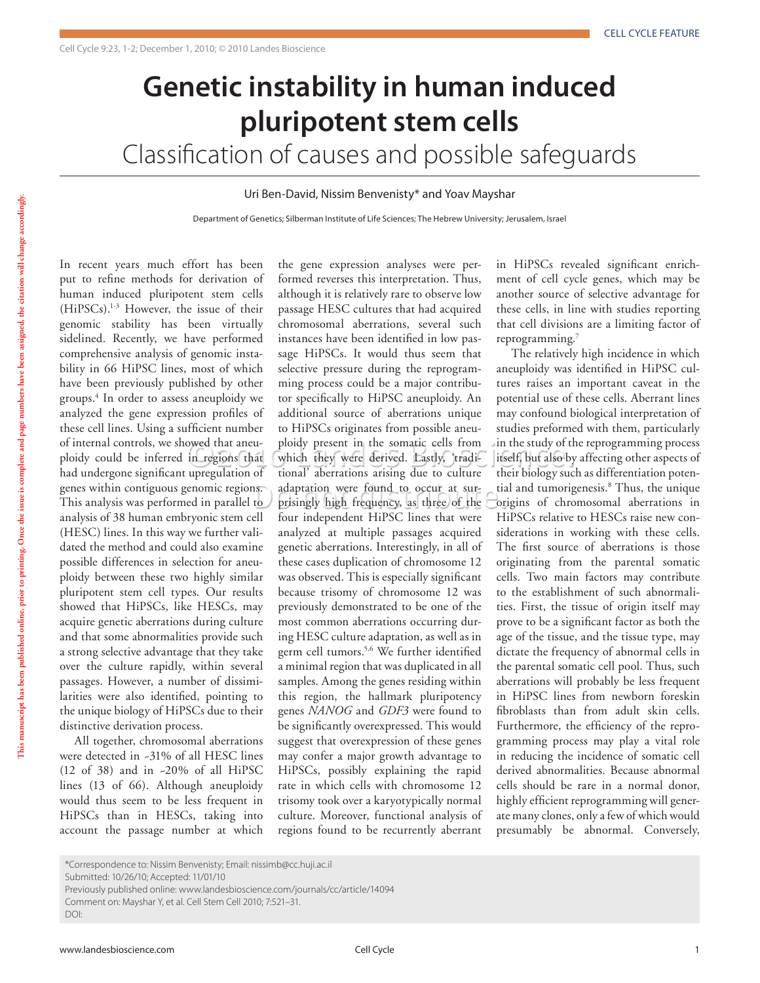## **Genetic instability in human induced pluripotent stem cells**

Classification of causes and possible safeguards

## Uri Ben-David, Nissim Benvenisty\* and Yoav Mayshar

Department of Genetics; Silberman Institute of Life Sciences; The Hebrew University; Jerusalem, Israel

In recent years much effort has been put to refine methods for derivation of human induced pluripotent stem cells (HiPSCs).1-3 However, the issue of their genomic stability has been virtually sidelined. Recently, we have performed comprehensive analysis of genomic instability in 66 HiPSC lines, most of which have been previously published by other groups.4 In order to assess aneuploidy we analyzed the gene expression profiles of these cell lines. Using a sufficient number of internal controls, we showed that aneuploidy could be inferred in regions that had undergone significant upregulation of genes within contiguous genomic regions. This analysis was performed in parallel to analysis of 38 human embryonic stem cell (HESC) lines. In this way we further validated the method and could also examine possible differences in selection for aneuploidy between these two highly similar pluripotent stem cell types. Our results showed that HiPSCs, like HESCs, may acquire genetic aberrations during culture and that some abnormalities provide such a strong selective advantage that they take over the culture rapidly, within several passages. However, a number of dissimilarities were also identified, pointing to the unique biology of HiPSCs due to their distinctive derivation process.

All together, chromosomal aberrations were detected in ~31% of all HESC lines (12 of 38) and in ~20% of all HiPSC lines (13 of 66). Although aneuploidy would thus seem to be less frequent in HiPSCs than in HESCs, taking into account the passage number at which

the gene expression analyses were performed reverses this interpretation. Thus, although it is relatively rare to observe low passage HESC cultures that had acquired chromosomal aberrations, several such instances have been identified in low passage HiPSCs. It would thus seem that selective pressure during the reprogramming process could be a major contributor specifically to HiPSC aneuploidy. An additional source of aberrations unique to HiPSCs originates from possible aneuploidy present in the somatic cells from which they were derived. Lastly, 'traditional' aberrations arising due to culture adaptation were found to occur at surprisingly high frequency, as three of the four independent HiPSC lines that were analyzed at multiple passages acquired genetic aberrations. Interestingly, in all of these cases duplication of chromosome 12 was observed. This is especially significant because trisomy of chromosome 12 was previously demonstrated to be one of the most common aberrations occurring during HESC culture adaptation, as well as in germ cell tumors.5,6 We further identified a minimal region that was duplicated in all samples. Among the genes residing within this region, the hallmark pluripotency genes *NANOG* and *GDF3* were found to be significantly overexpressed. This would suggest that overexpression of these genes may confer a major growth advantage to HiPSCs, possibly explaining the rapid rate in which cells with chromosome 12 trisomy took over a karyotypically normal culture. Moreover, functional analysis of regions found to be recurrently aberrant

in HiPSCs revealed significant enrichment of cell cycle genes, which may be another source of selective advantage for these cells, in line with studies reporting that cell divisions are a limiting factor of reprogramming.7

The relatively high incidence in which aneuploidy was identified in HiPSC cultures raises an important caveat in the potential use of these cells. Aberrant lines may confound biological interpretation of studies preformed with them, particularly in the study of the reprogramming process itself, but also by affecting other aspects of their biology such as differentiation potential and tumorigenesis.8 Thus, the unique origins of chromosomal aberrations in HiPSCs relative to HESCs raise new considerations in working with these cells. The first source of aberrations is those originating from the parental somatic cells. Two main factors may contribute to the establishment of such abnormalities. First, the tissue of origin itself may prove to be a significant factor as both the age of the tissue, and the tissue type, may dictate the frequency of abnormal cells in the parental somatic cell pool. Thus, such aberrations will probably be less frequent in HiPSC lines from newborn foreskin fibroblasts than from adult skin cells. Furthermore, the efficiency of the reprogramming process may play a vital role in reducing the incidence of somatic cell derived abnormalities. Because abnormal cells should be rare in a normal donor, highly efficient reprogramming will generate many clones, only a few of which would presumably be abnormal. Conversely,

<sup>\*</sup>Correspondence to: Nissim Benvenisty; Email: nissimb@cc.huji.ac.il

Submitted: 10/26/10; Accepted: 11/01/10

Previously published online: www.landesbioscience.com/journals/cc/article/14094

Comment on: Mayshar Y, et al. Cell Stem Cell 2010; 7:521–31.

DOI: